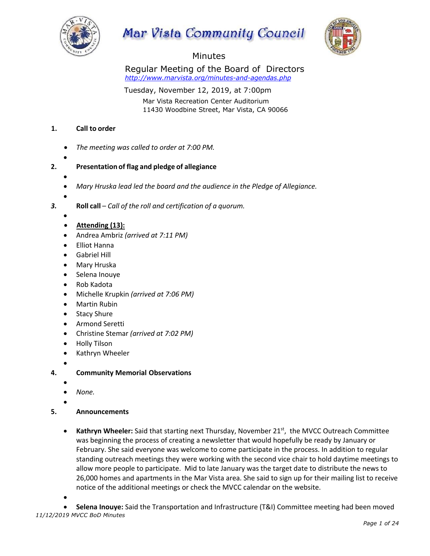

# Mar Vista Community Council



## Minutes

Regular Meeting of the Board of Directors *http://www.marvista.org/minutes-and-agendas.php*

Tuesday, November 12, 2019, at 7:00pm

Mar Vista Recreation Center Auditorium 11430 Woodbine Street, Mar Vista, CA 90066

#### **1. Call to order**

- *The meeting was called to order at 7:00 PM.*
- •

## **2. Presentation of flag and pledge of allegiance**

- - *Mary Hruska lead led the board and the audience in the Pledge of Allegiance.*
- •

*3.* **Roll call** – *Call of the roll and certification of a quorum.* 

- •
- **Attending (13):**
- Andrea Ambriz *(arrived at 7:11 PM)*
- Elliot Hanna
- Gabriel Hill
- Mary Hruska
- Selena Inouye
- Rob Kadota
- Michelle Krupkin *(arrived at 7:06 PM)*
- Martin Rubin
- Stacy Shure
- Armond Seretti
- Christine Stemar *(arrived at 7:02 PM)*
- Holly Tilson
- Kathryn Wheeler
- •
- **4. Community Memorial Observations**
	- •
	- *None.*
	- •
- **5. Announcements**
	- Kathryn Wheeler: Said that starting next Thursday, November 21<sup>st</sup>, the MVCC Outreach Committee was beginning the process of creating a newsletter that would hopefully be ready by January or February. She said everyone was welcome to come participate in the process. In addition to regular standing outreach meetings they were working with the second vice chair to hold daytime meetings to allow more people to participate. Mid to late January was the target date to distribute the news to 26,000 homes and apartments in the Mar Vista area. She said to sign up for their mailing list to receive notice of the additional meetings or check the MVCC calendar on the website.
	- •

*11/12/2019 MVCC BoD Minutes* • **Selena Inouye:** Said the Transportation and Infrastructure (T&I) Committee meeting had been moved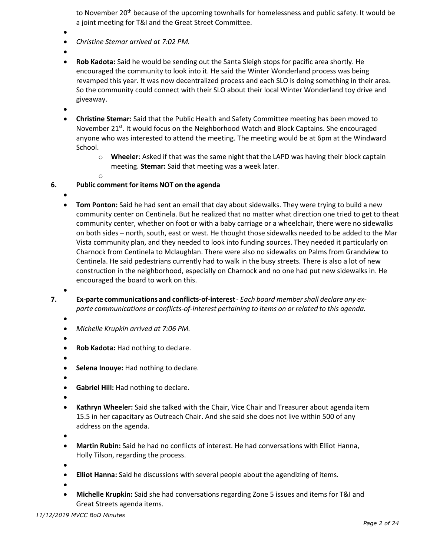to November 20<sup>th</sup> because of the upcoming townhalls for homelessness and public safety. It would be a joint meeting for T&I and the Great Street Committee.

- •
- *Christine Stemar arrived at 7:02 PM.*
- •
- **Rob Kadota:** Said he would be sending out the Santa Sleigh stops for pacific area shortly. He encouraged the community to look into it. He said the Winter Wonderland process was being revamped this year. It was now decentralized process and each SLO is doing something in their area. So the community could connect with their SLO about their local Winter Wonderland toy drive and giveaway.
- •
- **Christine Stemar:** Said that the Public Health and Safety Committee meeting has been moved to November 21<sup>st</sup>. It would focus on the Neighborhood Watch and Block Captains. She encouraged anyone who was interested to attend the meeting. The meeting would be at 6pm at the Windward School.
	- o **Wheeler**: Asked if that was the same night that the LAPD was having their block captain meeting. **Stemar:** Said that meeting was a week later.
- 

o

#### **6. Public comment for items NOT on the agenda**

- - **Tom Ponton:** Said he had sent an email that day about sidewalks. They were trying to build a new community center on Centinela. But he realized that no matter what direction one tried to get to theat community center, whether on foot or with a baby carriage or a wheelchair, there were no sidewalks on both sides – north, south, east or west. He thought those sidewalks needed to be added to the Mar Vista community plan, and they needed to look into funding sources. They needed it particularly on Charnock from Centinela to Mclaughlan. There were also no sidewalks on Palms from Grandview to Centinela. He said pedestrians currently had to walk in the busy streets. There is also a lot of new construction in the neighborhood, especially on Charnock and no one had put new sidewalks in. He encouraged the board to work on this.
- 
- **7. Ex-parte communications and conflicts-of-interest** *Each board membershall declare any exparte communications or conflicts-of-interest pertaining to items on or related to this agenda.*
	- •

- *Michelle Krupkin arrived at 7:06 PM.*
- •
- **Rob Kadota:** Had nothing to declare.
- •
- **Selena Inouye:** Had nothing to declare.
- •
- **Gabriel Hill:** Had nothing to declare.
- •
- **Kathryn Wheeler:** Said she talked with the Chair, Vice Chair and Treasurer about agenda item 15.5 in her capacitary as Outreach Chair. And she said she does not live within 500 of any address on the agenda.
- •
- **Martin Rubin:** Said he had no conflicts of interest. He had conversations with Elliot Hanna, Holly Tilson, regarding the process.
- •
- **Elliot Hanna:** Said he discussions with several people about the agendizing of items.
- •
- **Michelle Krupkin:** Said she had conversations regarding Zone 5 issues and items for T&I and Great Streets agenda items.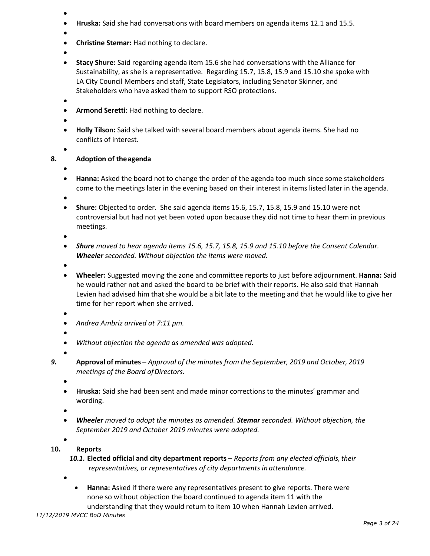- •
- **Hruska:** Said she had conversations with board members on agenda items 12.1 and 15.5.
- •
- **Christine Stemar:** Had nothing to declare.
- •
- **Stacy Shure:** Said regarding agenda item 15.6 she had conversations with the Alliance for Sustainability, as she is a representative. Regarding 15.7, 15.8, 15.9 and 15.10 she spoke with LA City Council Members and staff, State Legislators, including Senator Skinner, and Stakeholders who have asked them to support RSO protections.
- •
- **Armond Seretti**: Had nothing to declare.
- •
- **Holly Tilson:** Said she talked with several board members about agenda items. She had no conflicts of interest.
- 

#### **8. Adoption of theagenda**

•

•

- **Hanna:** Asked the board not to change the order of the agenda too much since some stakeholders come to the meetings later in the evening based on their interest in items listed later in the agenda.
- •
- **Shure:** Objected to order. She said agenda items 15.6, 15.7, 15.8, 15.9 and 15.10 were not controversial but had not yet been voted upon because they did not time to hear them in previous meetings.
- •
- *Shure moved to hear agenda items 15.6, 15.7, 15.8, 15.9 and 15.10 before the Consent Calendar. Wheeler seconded. Without objection the items were moved.*
- •
- **Wheeler:** Suggested moving the zone and committee reports to just before adjournment. **Hanna:** Said he would rather not and asked the board to be brief with their reports. He also said that Hannah Levien had advised him that she would be a bit late to the meeting and that he would like to give her time for her report when she arrived.
- •
- *Andrea Ambriz arrived at 7:11 pm.*
- •
- *Without objection the agenda as amended was adopted.*
- •
- *9.* **Approval of minutes** *– Approval of the minutes from the September, 2019 and October, 2019 meetings of the Board ofDirectors.*
	- •
	- **Hruska:** Said she had been sent and made minor corrections to the minutes' grammar and wording.
	- •
	- *Wheeler moved to adopt the minutes as amended. Stemar seconded. Without objection, the September 2019 and October 2019 minutes were adopted.*
	- •
- **10. Reports**

*10.1.* **Elected official and city department reports** – *Reports from any elected officials,their representatives, or representatives of city departments in attendance.*

- •
- **Hanna:** Asked if there were any representatives present to give reports. There were none so without objection the board continued to agenda item 11 with the understanding that they would return to item 10 when Hannah Levien arrived.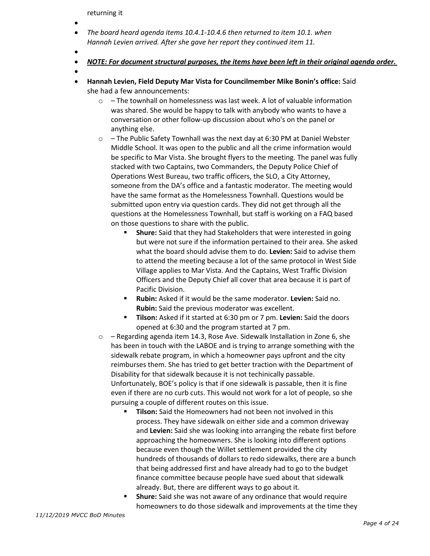returning it

- •
- *The board heard agenda items 10.4.1-10.4.6 then returned to item 10.1. when Hannah Levien arrived. After she gave her report they continued item 11.*
- •
- *NOTE: For document structural purposes, the items have been left in their original agenda order.*
- •
- **Hannah Levien, Field Deputy Mar Vista for Councilmember Mike Bonin's office:** Said she had a few announcements:
	- $\circ$  The townhall on homelessness was last week. A lot of valuable information was shared. She would be happy to talk with anybody who wants to have a conversation or other follow-up discussion about who's on the panel or anything else.
	- $\circ$  The Public Safety Townhall was the next day at 6:30 PM at Daniel Webster Middle School. It was open to the public and all the crime information would be specific to Mar Vista. She brought flyers to the meeting. The panel was fully stacked with two Captains, two Commanders, the Deputy Police Chief of Operations West Bureau, two traffic officers, the SLO, a City Attorney, someone from the DA's office and a fantastic moderator. The meeting would have the same format as the Homelessness Townhall. Questions would be submitted upon entry via question cards. They did not get through all the questions at the Homelessness Townhall, but staff is working on a FAQ based on those questions to share with the public.
		- § **Shure:** Said that they had Stakeholders that were interested in going but were not sure if the information pertained to their area. She asked what the board should advise them to do. **Levien:** Said to advise them to attend the meeting because a lot of the same protocol in West Side Village applies to Mar Vista. And the Captains, West Traffic Division Officers and the Deputy Chief all cover that area because it is part of Pacific Division.
		- § **Rubin:** Asked if it would be the same moderator. **Levien:** Said no. **Rubin:** Said the previous moderator was excellent.
		- § **Tilson:** Asked if it started at 6:30 pm or 7 pm. **Levien:** Said the doors opened at 6:30 and the program started at 7 pm.
	- $\circ$  Regarding agenda item 14.3, Rose Ave. Sidewalk Installation in Zone 6, she has been in touch with the LABOE and is trying to arrange something with the sidewalk rebate program, in which a homeowner pays upfront and the city reimburses them. She has tried to get better traction with the Department of Disability for that sidewalk because it is not techinically passable. Unfortunately, BOE's policy is that if one sidewalk is passable, then it is fine even if there are no curb cuts. This would not work for a lot of people, so she pursuing a couple of different routes on this issue.
		- § **Tilson:** Said the Homeowners had not been not involved in this process. They have sidewalk on either side and a common driveway and **Levien:** Said she was looking into arranging the rebate first before approaching the homeowners. She is looking into different options because even though the Willet settlement provided the city hundreds of thousands of dollars to redo sidewalks, there are a bunch that being addressed first and have already had to go to the budget finance committee because people have sued about that sidewalk already. But, there are different ways to go about it.
		- § **Shure:** Said she was not aware of any ordinance that would require homeowners to do those sidewalk and improvements at the time they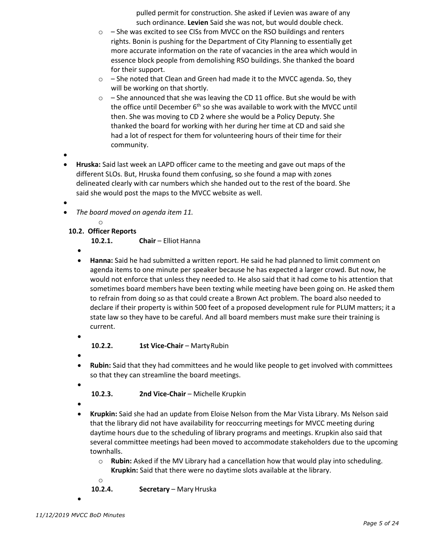pulled permit for construction. She asked if Levien was aware of any such ordinance. **Levien** Said she was not, but would double check.

- $\circ$  She was excited to see CISs from MVCC on the RSO buildings and renters rights. Bonin is pushing for the Department of City Planning to essentially get more accurate information on the rate of vacancies in the area which would in essence block people from demolishing RSO buildings. She thanked the board for their support.
- $\circ$  She noted that Clean and Green had made it to the MVCC agenda. So, they will be working on that shortly.
- $\circ$  She announced that she was leaving the CD 11 office. But she would be with the office until December  $6<sup>th</sup>$  so she was available to work with the MVCC until then. She was moving to CD 2 where she would be a Policy Deputy. She thanked the board for working with her during her time at CD and said she had a lot of respect for them for volunteering hours of their time for their community.
- •
- **Hruska:** Said last week an LAPD officer came to the meeting and gave out maps of the different SLOs. But, Hruska found them confusing, so she found a map with zones delineated clearly with car numbers which she handed out to the rest of the board. She said she would post the maps to the MVCC website as well.
- •
- *The board moved on agenda item 11.* 
	- o
	- **10.2. Officer Reports**
		- 10.2.1. **Chair** Elliot Hanna
		- •
		- **Hanna:** Said he had submitted a written report. He said he had planned to limit comment on agenda items to one minute per speaker because he has expected a larger crowd. But now, he would not enforce that unless they needed to. He also said that it had come to his attention that sometimes board members have been texting while meeting have been going on. He asked them to refrain from doing so as that could create a Brown Act problem. The board also needed to declare if their property is within 500 feet of a proposed development rule for PLUM matters; it a state law so they have to be careful. And all board members must make sure their training is current.
		- •
- **10.2.2. 1st Vice-Chair**  MartyRubin
- •
- **Rubin:** Said that they had committees and he would like people to get involved with committees so that they can streamline the board meetings.
- - **10.2.3. 2nd Vice-Chair**  Michelle Krupkin
- •
- **Krupkin:** Said she had an update from Eloise Nelson from the Mar Vista Library. Ms Nelson said that the library did not have availability for reoccurring meetings for MVCC meeting during daytime hours due to the scheduling of library programs and meetings. Krupkin also said that several committee meetings had been moved to accommodate stakeholders due to the upcoming townhalls.
	- o **Rubin:** Asked if the MV Library had a cancellation how that would play into scheduling.
		- **Krupkin:** Said that there were no daytime slots available at the library.
	- o

**10.2.4. Secretary** – Mary Hruska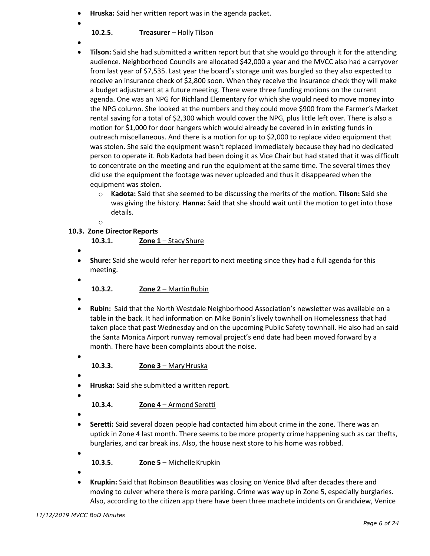- **Hruska:** Said her written report was in the agenda packet.
- **10.2.5. Treasurer** – Holly Tilson
- 
- •
- 
- **Tilson:** Said she had submitted a written report but that she would go through it for the attending audience. Neighborhood Councils are allocated \$42,000 a year and the MVCC also had a carryover from last year of \$7,535. Last year the board's storage unit was burgled so they also expected to receive an insurance check of \$2,800 soon. When they receive the insurance check they will make a budget adjustment at a future meeting. There were three funding motions on the current agenda. One was an NPG for Richland Elementary for which she would need to move money into the NPG column. She looked at the numbers and they could move \$900 from the Farmer's Market rental saving for a total of \$2,300 which would cover the NPG, plus little left over. There is also a motion for \$1,000 for door hangers which would already be covered in in existing funds in outreach miscellaneous. And there is a motion for up to \$2,000 to replace video equipment that was stolen. She said the equipment wasn't replaced immediately because they had no dedicated person to operate it. Rob Kadota had been doing it as Vice Chair but had stated that it was difficult to concentrate on the meeting and run the equipment at the same time. The several times they did use the equipment the footage was never uploaded and thus it disappeared when the equipment was stolen.
	- o **Kadota:** Said that she seemed to be discussing the merits of the motion. **Tilson:** Said she was giving the history. **Hanna:** Said that she should wait until the motion to get into those details.
	- o

## **10.3. Zone Director Reports**

**10.3.1. Zone 1** – Stacy Shure

- •
- **Shure:** Said she would refer her report to next meeting since they had a full agenda for this meeting.
- •
- **10.3.2. Zone 2**  MartinRubin
- •
- **Rubin:** Said that the North Westdale Neighborhood Association's newsletter was available on a table in the back. It had information on Mike Bonin's lively townhall on Homelessness that had taken place that past Wednesday and on the upcoming Public Safety townhall. He also had an said the Santa Monica Airport runway removal project's end date had been moved forward by a month. There have been complaints about the noise.
	-

**10.3.3. Zone 3 – Mary Hruska** 

•

•

- **Hruska:** Said she submitted a written report.
- •

10.3.4. **Zone 4** – Armond Seretti

- •
- **Seretti:** Said several dozen people had contacted him about crime in the zone. There was an uptick in Zone 4 last month. There seems to be more property crime happening such as car thefts, burglaries, and car break ins. Also, the house next store to his home was robbed.
- •
- **10.3.5. Zone 5**  MichelleKrupkin
- •
- **Krupkin:** Said that Robinson Beautilities was closing on Venice Blvd after decades there and moving to culver where there is more parking. Crime was way up in Zone 5, especially burglaries. Also, according to the citizen app there have been three machete incidents on Grandview, Venice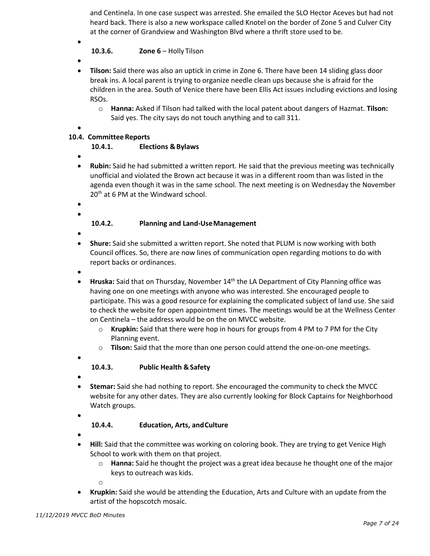and Centinela. In one case suspect was arrested. She emailed the SLO Hector Aceves but had not heard back. There is also a new workspace called Knotel on the border of Zone 5 and Culver City at the corner of Grandview and Washington Blvd where a thrift store used to be.

### **10.3.6. Zone 6 – Holly Tilson**

•

•

- **Tilson:** Said there was also an uptick in crime in Zone 6. There have been 14 sliding glass door break ins. A local parent is trying to organize needle clean ups because she is afraid for the children in the area. South of Venice there have been Ellis Act issues including evictions and losing RSOs.
	- o **Hanna:** Asked if Tilson had talked with the local patent about dangers of Hazmat. **Tilson:** Said yes. The city says do not touch anything and to call 311.
- •

## **10.4. Committee Reports**

#### **10.4.1. Elections &Bylaws**

- •
- **Rubin:** Said he had submitted a written report. He said that the previous meeting was technically unofficial and violated the Brown act because it was in a different room than was listed in the agenda even though it was in the same school. The next meeting is on Wednesday the November 20<sup>th</sup> at 6 PM at the Windward school.
- •
- •

#### **10.4.2. Planning and Land-UseManagement**

- •
- **Shure:** Said she submitted a written report. She noted that PLUM is now working with both Council offices. So, there are now lines of communication open regarding motions to do with report backs or ordinances.
- •
- Hruska: Said that on Thursday, November 14<sup>th</sup> the LA Department of City Planning office was having one on one meetings with anyone who was interested. She encouraged people to participate. This was a good resource for explaining the complicated subject of land use. She said to check the website for open appointment times. The meetings would be at the Wellness Center on Centinela – the address would be on the on MVCC website.
	- o **Krupkin:** Said that there were hop in hours for groups from 4 PM to 7 PM for the City Planning event.
	- o **Tilson:** Said that the more than one person could attend the one-on-one meetings.

## **10.4.3. Public Health &Safety**

•

•

• **Stemar:** Said she had nothing to report. She encouraged the community to check the MVCC website for any other dates. They are also currently looking for Block Captains for Neighborhood Watch groups.

## **10.4.4. Education, Arts, andCulture**

•

•

- **Hill:** Said that the committee was working on coloring book. They are trying to get Venice High School to work with them on that project.
	- o **Hanna:** Said he thought the project was a great idea because he thought one of the major keys to outreach was kids.

o

• **Krupkin:** Said she would be attending the Education, Arts and Culture with an update from the artist of the hopscotch mosaic.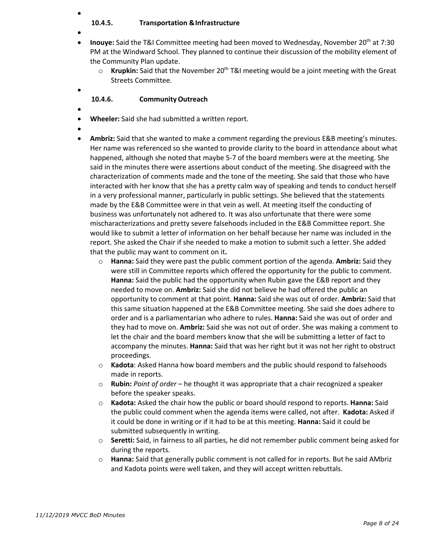#### • **10.4.5. Transportation &Infrastructure**

- **Inouye:** Said the T&I Committee meeting had been moved to Wednesday, November 20th at 7:30 PM at the Windward School. They planned to continue their discussion of the mobility element of the Community Plan update.
	- $\circ$  **Krupkin:** Said that the November 20<sup>th</sup> T&I meeting would be a joint meeting with the Great Streets Committee.

#### **10.4.6. CommunityOutreach**

•

•

- **Wheeler:** Said she had submitted a written report.
- •
- **Ambriz:** Said that she wanted to make a comment regarding the previous E&B meeting's minutes. Her name was referenced so she wanted to provide clarity to the board in attendance about what happened, although she noted that maybe 5-7 of the board members were at the meeting. She said in the minutes there were assertions about conduct of the meeting. She disagreed with the characterization of comments made and the tone of the meeting. She said that those who have interacted with her know that she has a pretty calm way of speaking and tends to conduct herself in a very professional manner, particularly in public settings. She believed that the statements made by the E&B Committee were in that vein as well. At meeting itself the conducting of business was unfortunately not adhered to. It was also unfortunate that there were some mischaracterizations and pretty severe falsehoods included in the E&B Committee report. She would like to submit a letter of information on her behalf because her name was included in the report. She asked the Chair if she needed to make a motion to submit such a letter. She added that the public may want to comment on it**.** 
	- o **Hanna:** Said they were past the public comment portion of the agenda. **Ambriz:** Said they were still in Committee reports which offered the opportunity for the public to comment. **Hanna:** Said the public had the opportunity when Rubin gave the E&B report and they needed to move on. **Ambriz:** Said she did not believe he had offered the public an opportunity to comment at that point. **Hanna:** Said she was out of order. **Ambriz:** Said that this same situation happened at the E&B Committee meeting. She said she does adhere to order and is a parliamentarian who adhere to rules. **Hanna:** Said she was out of order and they had to move on. **Ambriz:** Said she was not out of order. She was making a comment to let the chair and the board members know that she will be submitting a letter of fact to accompany the minutes. **Hanna:** Said that was her right but it was not her right to obstruct proceedings.
	- o **Kadota**: Asked Hanna how board members and the public should respond to falsehoods made in reports.
	- o **Rubin:** *Point of order* he thought it was appropriate that a chair recognized a speaker before the speaker speaks.
	- o **Kadota:** Asked the chair how the public or board should respond to reports. **Hanna:** Said the public could comment when the agenda items were called, not after. **Kadota:** Asked if it could be done in writing or if it had to be at this meeting. **Hanna:** Said it could be submitted subsequently in writing.
	- o **Seretti:** Said, in fairness to all parties, he did not remember public comment being asked for during the reports.
	- o **Hanna:** Said that generally public comment is not called for in reports. But he said AMbriz and Kadota points were well taken, and they will accept written rebuttals.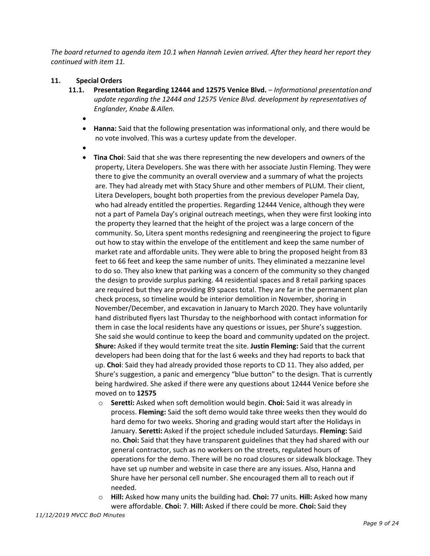*The board returned to agenda item 10.1 when Hannah Levien arrived. After they heard her report they continued with item 11.* 

#### **11. Special Orders**

- **11.1. Presentation Regarding 12444 and 12575 Venice Blvd.**  *Informational presentationand update regarding the 12444 and 12575 Venice Blvd. development by representatives of Englander, Knabe &Allen.*
	- •
	- **Hanna:** Said that the following presentation was informational only, and there would be no vote involved. This was a curtesy update from the developer.
	- •
	- **Tina Choi**: Said that she was there representing the new developers and owners of the property, Litera Developers. She was there with her associate Justin Fleming. They were there to give the community an overall overview and a summary of what the projects are. They had already met with Stacy Shure and other members of PLUM. Their client, Litera Developers, bought both properties from the previous developer Pamela Day, who had already entitled the properties. Regarding 12444 Venice, although they were not a part of Pamela Day's original outreach meetings, when they were first looking into the property they learned that the height of the project was a large concern of the community. So, Litera spent months redesigning and reengineering the project to figure out how to stay within the envelope of the entitlement and keep the same number of market rate and affordable units. They were able to bring the proposed height from 83 feet to 66 feet and keep the same number of units. They eliminated a mezzanine level to do so. They also knew that parking was a concern of the community so they changed the design to provide surplus parking. 44 residential spaces and 8 retail parking spaces are required but they are providing 89 spaces total. They are far in the permanent plan check process, so timeline would be interior demolition in November, shoring in November/December, and excavation in January to March 2020. They have voluntarily hand distributed flyers last Thursday to the neighborhood with contact information for them in case the local residents have any questions or issues, per Shure's suggestion. She said she would continue to keep the board and community updated on the project. **Shure:** Asked if they would termite treat the site. **Justin Fleming:** Said that the current developers had been doing that for the last 6 weeks and they had reports to back that up. **Choi**: Said they had already provided those reports to CD 11. They also added, per Shure's suggestion, a panic and emergency "blue button" to the design. That is currently being hardwired. She asked if there were any questions about 12444 Venice before she moved on to **12575**
		- o **Seretti:** Asked when soft demolition would begin. **Choi:** Said it was already in process. **Fleming:** Said the soft demo would take three weeks then they would do hard demo for two weeks. Shoring and grading would start after the Holidays in January. **Seretti:** Asked if the project schedule included Saturdays. **Fleming:** Said no. **Choi:** Said that they have transparent guidelines that they had shared with our general contractor, such as no workers on the streets, regulated hours of operations for the demo. There will be no road closures or sidewalk blockage. They have set up number and website in case there are any issues. Also, Hanna and Shure have her personal cell number. She encouraged them all to reach out if needed.
		- o **Hill:** Asked how many units the building had. **Choi:** 77 units. **Hill:** Asked how many were affordable. **Choi:** 7. **Hill:** Asked if there could be more. **Choi:** Said they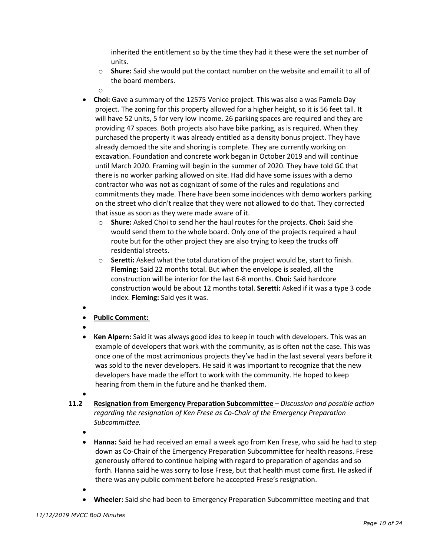inherited the entitlement so by the time they had it these were the set number of units.

- o **Shure:** Said she would put the contact number on the website and email it to all of the board members.
- o
- **Choi:** Gave a summary of the 12575 Venice project. This was also a was Pamela Day project. The zoning for this property allowed for a higher height, so it is 56 feet tall. It will have 52 units, 5 for very low income. 26 parking spaces are required and they are providing 47 spaces. Both projects also have bike parking, as is required. When they purchased the property it was already entitled as a density bonus project. They have already demoed the site and shoring is complete. They are currently working on excavation. Foundation and concrete work began in October 2019 and will continue until March 2020. Framing will begin in the summer of 2020. They have told GC that there is no worker parking allowed on site. Had did have some issues with a demo contractor who was not as cognizant of some of the rules and regulations and commitments they made. There have been some incidences with demo workers parking on the street who didn't realize that they were not allowed to do that. They corrected that issue as soon as they were made aware of it.
	- o **Shure:** Asked Choi to send her the haul routes for the projects. **Choi:** Said she would send them to the whole board. Only one of the projects required a haul route but for the other project they are also trying to keep the trucks off residential streets.
	- o **Seretti:** Asked what the total duration of the project would be, start to finish. **Fleming:** Said 22 months total. But when the envelope is sealed, all the construction will be interior for the last 6-8 months. **Choi:** Said hardcore construction would be about 12 months total. **Seretti:** Asked if it was a type 3 code index. **Fleming:** Said yes it was.
- •
- **Public Comment:**
- •
- **Ken Alpern:** Said it was always good idea to keep in touch with developers. This was an example of developers that work with the community, as is often not the case. This was once one of the most acrimonious projects they've had in the last several years before it was sold to the never developers. He said it was important to recognize that the new developers have made the effort to work with the community. He hoped to keep hearing from them in the future and he thanked them.
- •
- **11.2 Resignation from Emergency Preparation Subcommittee** *Discussion and possible action regarding the resignation of Ken Frese as Co-Chair of the Emergency Preparation Subcommittee.*
	- •
	- **Hanna:** Said he had received an email a week ago from Ken Frese, who said he had to step down as Co-Chair of the Emergency Preparation Subcommittee for health reasons. Frese generously offered to continue helping with regard to preparation of agendas and so forth. Hanna said he was sorry to lose Frese, but that health must come first. He asked if there was any public comment before he accepted Frese's resignation.
	- •
	- **Wheeler:** Said she had been to Emergency Preparation Subcommittee meeting and that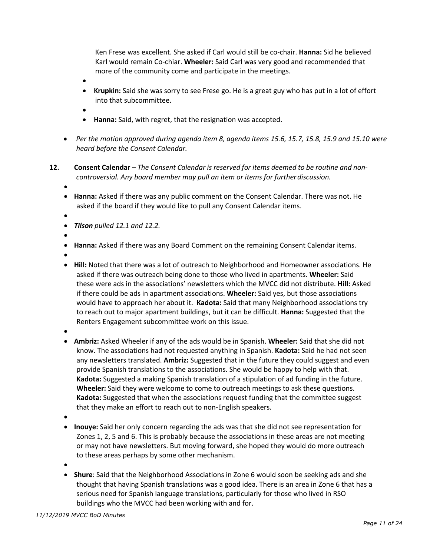Ken Frese was excellent. She asked if Carl would still be co-chair. **Hanna:** Sid he believed Karl would remain Co-chiar. **Wheeler:** Said Carl was very good and recommended that more of the community come and participate in the meetings.

- •
- **Krupkin:** Said she was sorry to see Frese go. He is a great guy who has put in a lot of effort into that subcommittee.
- •
- **Hanna:** Said, with regret, that the resignation was accepted.
- *Per the motion approved during agenda item 8, agenda items 15.6, 15.7, 15.8, 15.9 and 15.10 were heard before the Consent Calendar.*
- **12. Consent Calendar** *The Consent Calendar is reserved for items deemed to be routine and noncontroversial. Any board member may pull an item or items for furtherdiscussion.*
	- •
	- **Hanna:** Asked if there was any public comment on the Consent Calendar. There was not. He asked if the board if they would like to pull any Consent Calendar items.
	- •
	- *Tilson pulled 12.1 and 12.2.*
	- •
	- **Hanna:** Asked if there was any Board Comment on the remaining Consent Calendar items.
	- •
	- **Hill:** Noted that there was a lot of outreach to Neighborhood and Homeowner associations. He asked if there was outreach being done to those who lived in apartments. **Wheeler:** Said these were ads in the associations' newsletters which the MVCC did not distribute. **Hill:** Asked if there could be ads in apartment associations. **Wheeler:** Said yes, but those associations would have to approach her about it. **Kadota:** Said that many Neighborhood associations try to reach out to major apartment buildings, but it can be difficult. **Hanna:** Suggested that the Renters Engagement subcommittee work on this issue.
	- •
	- **Ambriz:** Asked Wheeler if any of the ads would be in Spanish. **Wheeler:** Said that she did not know. The associations had not requested anything in Spanish. **Kadota:** Said he had not seen any newsletters translated. **Ambriz:** Suggested that in the future they could suggest and even provide Spanish translations to the associations. She would be happy to help with that. **Kadota:** Suggested a making Spanish translation of a stipulation of ad funding in the future. **Wheeler:** Said they were welcome to come to outreach meetings to ask these questions. **Kadota:** Suggested that when the associations request funding that the committee suggest that they make an effort to reach out to non-English speakers.
	- •
	- **Inouye:** Said her only concern regarding the ads was that she did not see representation for Zones 1, 2, 5 and 6. This is probably because the associations in these areas are not meeting or may not have newsletters. But moving forward, she hoped they would do more outreach to these areas perhaps by some other mechanism.
	- •
	- **Shure**: Said that the Neighborhood Associations in Zone 6 would soon be seeking ads and she thought that having Spanish translations was a good idea. There is an area in Zone 6 that has a serious need for Spanish language translations, particularly for those who lived in RSO buildings who the MVCC had been working with and for.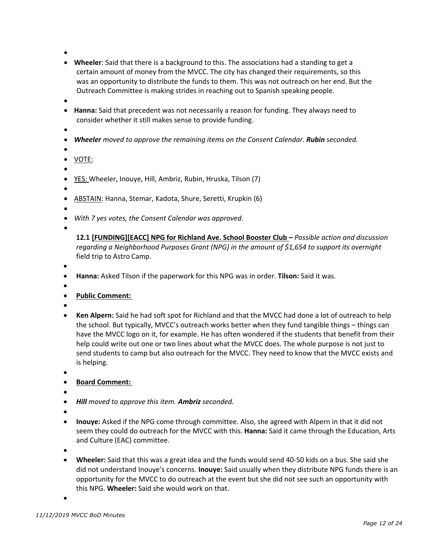- •
- **Wheeler**: Said that there is a background to this. The associations had a standing to get a certain amount of money from the MVCC. The city has changed their requirements, so this was an opportunity to distribute the funds to them. This was not outreach on her end. But the Outreach Committee is making strides in reaching out to Spanish speaking people.
- •
- **Hanna:** Said that precedent was not necessarily a reason for funding. They always need to consider whether it still makes sense to provide funding.
- •
- *Wheeler moved to approve the remaining items on the Consent Calendar. Rubin seconded.*
- •
- VOTE: •
- YES: Wheeler, Inouye, Hill, Ambriz, Rubin, Hruska, Tilson (7)
- •
- ABSTAIN: Hanna, Stemar, Kadota, Shure, Seretti, Krupkin (6)
- •
- *With 7 yes votes, the Consent Calendar was approved.*
- •

**12.1 [FUNDING][EACC] NPG for Richland Ave. School Booster Club –** *Possible action and discussion regarding a Neighborhood Purposes Grant (NPG) in the amount of \$1,654 to support its overnight* field trip to Astro Camp.

- •
- **Hanna:** Asked Tilson if the paperwork for this NPG was in order. **Tilson:** Said it was.
- •
- **Public Comment:**
- •
- **Ken Alpern:** Said he had soft spot for Richland and that the MVCC had done a lot of outreach to help the school. But typically, MVCC's outreach works better when they fund tangible things – things can have the MVCC logo on it, for example. He has often wondered if the students that benefit from their help could write out one or two lines about what the MVCC does. The whole purpose is not just to send students to camp but also outreach for the MVCC. They need to know that the MVCC exists and is helping.
- •

## • **Board Comment:**

- •
- *Hill moved to approve this item. Ambriz seconded.*
- •
- **Inouye:** Asked if the NPG come through committee. Also, she agreed with Alpern in that it did not seem they could do outreach for the MVCC with this. **Hanna:** Said it came through the Education, Arts and Culture (EAC) committee.
- •
- **Wheeler:** Said that this was a great idea and the funds would send 40-50 kids on a bus. She said she did not understand Inouye's concerns. **Inouye:** Said usually when they distribute NPG funds there is an opportunity for the MVCC to do outreach at the event but she did not see such an opportunity with this NPG. **Wheeler:** Said she would work on that.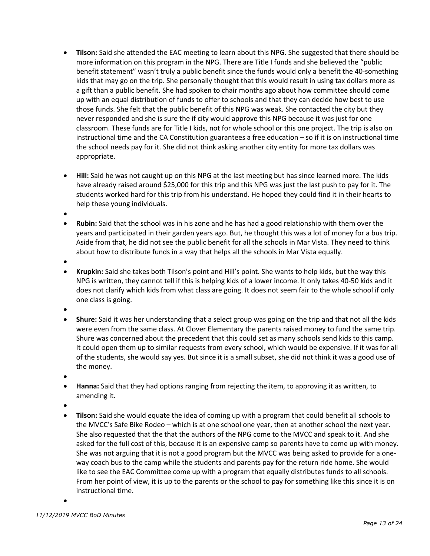- **Tilson:** Said she attended the EAC meeting to learn about this NPG. She suggested that there should be more information on this program in the NPG. There are Title I funds and she believed the "public benefit statement" wasn't truly a public benefit since the funds would only a benefit the 40-something kids that may go on the trip. She personally thought that this would result in using tax dollars more as a gift than a public benefit. She had spoken to chair months ago about how committee should come up with an equal distribution of funds to offer to schools and that they can decide how best to use those funds. She felt that the public benefit of this NPG was weak. She contacted the city but they never responded and she is sure the if city would approve this NPG because it was just for one classroom. These funds are for Title I kids, not for whole school or this one project. The trip is also on instructional time and the CA Constitution guarantees a free education – so if it is on instructional time the school needs pay for it. She did not think asking another city entity for more tax dollars was appropriate.
- **Hill:** Said he was not caught up on this NPG at the last meeting but has since learned more. The kids have already raised around \$25,000 for this trip and this NPG was just the last push to pay for it. The students worked hard for this trip from his understand. He hoped they could find it in their hearts to help these young individuals.

•

• **Rubin:** Said that the school was in his zone and he has had a good relationship with them over the years and participated in their garden years ago. But, he thought this was a lot of money for a bus trip. Aside from that, he did not see the public benefit for all the schools in Mar Vista. They need to think about how to distribute funds in a way that helps all the schools in Mar Vista equally.

•

• **Krupkin:** Said she takes both Tilson's point and Hill's point. She wants to help kids, but the way this NPG is written, they cannot tell if this is helping kids of a lower income. It only takes 40-50 kids and it does not clarify which kids from what class are going. It does not seem fair to the whole school if only one class is going.

- **Shure:** Said it was her understanding that a select group was going on the trip and that not all the kids were even from the same class. At Clover Elementary the parents raised money to fund the same trip. Shure was concerned about the precedent that this could set as many schools send kids to this camp. It could open them up to similar requests from every school, which would be expensive. If it was for all of the students, she would say yes. But since it is a small subset, she did not think it was a good use of the money.
- •
- **Hanna:** Said that they had options ranging from rejecting the item, to approving it as written, to amending it.
- •
- **Tilson:** Said she would equate the idea of coming up with a program that could benefit all schools to the MVCC's Safe Bike Rodeo – which is at one school one year, then at another school the next year. She also requested that the that the authors of the NPG come to the MVCC and speak to it. And she asked for the full cost of this, because it is an expensive camp so parents have to come up with money. She was not arguing that it is not a good program but the MVCC was being asked to provide for a oneway coach bus to the camp while the students and parents pay for the return ride home. She would like to see the EAC Committee come up with a program that equally distributes funds to all schools. From her point of view, it is up to the parents or the school to pay for something like this since it is on instructional time.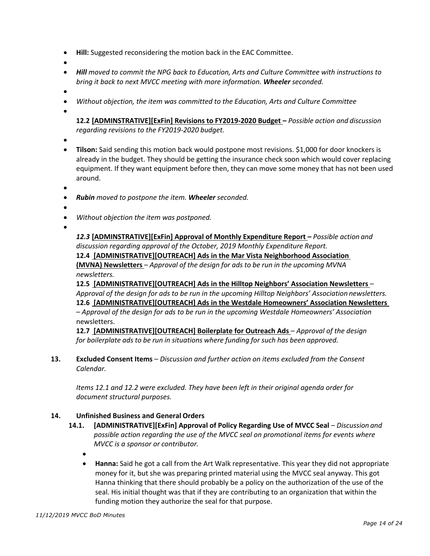- **Hill:** Suggested reconsidering the motion back in the EAC Committee.
- •
- *Hill moved to commit the NPG back to Education, Arts and Culture Committee with instructions to bring it back to next MVCC meeting with more information. Wheeler seconded.*
- •
- *Without objection, the item was committed to the Education, Arts and Culture Committee*
- •

**12.2 [ADMINSTRATIVE][ExFin] Revisions to FY2019-2020 Budget –** *Possible action and discussion regarding revisions to the FY2019-2020 budget.*

- •
- **Tilson:** Said sending this motion back would postpone most revisions. \$1,000 for door knockers is already in the budget. They should be getting the insurance check soon which would cover replacing equipment. If they want equipment before then, they can move some money that has not been used around.
- •
- *Rubin moved to postpone the item. Wheeler seconded.*
- •
- *Without objection the item was postponed.*
- •

*12.3* **[ADMINSTRATIVE][ExFin] Approval of Monthly Expenditure Report** *– Possible action and discussion regarding approval of the October, 2019 Monthly Expenditure Report.* **12.4 [ADMINISTRATIVE][OUTREACH] Ads in the Mar Vista Neighborhood Association (MVNA) Newsletters** – *Approval of the design for ads to be run in the upcoming MVNA newsletters.*

**12.5 [ADMINISTRATIVE][OUTREACH] Ads in the Hilltop Neighbors' Association Newsletters** – *Approval of the design for ads to be run in the upcoming Hilltop Neighbors' Association newsletters.* **12.6 [ADMINISTRATIVE][OUTREACH] Ads in the Westdale Homeowners' Association Newsletters**  – *Approval of the design for ads to be run in the upcoming Westdale Homeowners' Association* newsletters.

**12.7 [ADMINISTRATIVE][OUTREACH] Boilerplate for Outreach Ads** – *Approval of the design for boilerplate ads to be run in situations where funding for such has been approved.*

**13. Excluded Consent Items** – *Discussion and further action on items excluded from the Consent Calendar.*

*Items 12.1 and 12.2 were excluded. They have been left in their original agenda order for document structural purposes.* 

#### **14. Unfinished Business and General Orders**

- 14.1. [ADMINISTRATIVE][ExFin] Approval of Policy Regarding Use of MVCC Seal Discussion and *possible action regarding the use of the MVCC seal on promotional items for events where MVCC is a sponsor or contributor.*
	- •
	- **Hanna:** Said he got a call from the Art Walk representative. This year they did not appropriate money for it, but she was preparing printed material using the MVCC seal anyway. This got Hanna thinking that there should probably be a policy on the authorization of the use of the seal. His initial thought was that if they are contributing to an organization that within the funding motion they authorize the seal for that purpose.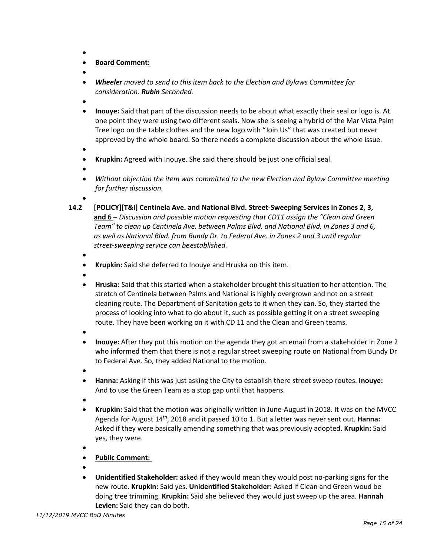- •
- **Board Comment:**
- •
- *Wheeler moved to send to this item back to the Election and Bylaws Committee for consideration. Rubin Seconded.*
- •
- **Inouye:** Said that part of the discussion needs to be about what exactly their seal or logo is. At one point they were using two different seals. Now she is seeing a hybrid of the Mar Vista Palm Tree logo on the table clothes and the new logo with "Join Us" that was created but never approved by the whole board. So there needs a complete discussion about the whole issue.
- •
- **Krupkin:** Agreed with Inouye. She said there should be just one official seal.
- •
- *Without objection the item was committed to the new Election and Bylaw Committee meeting for further discussion.*
- •
- **14.2 [POLICY][T&I] Centinela Ave. and National Blvd. Street-Sweeping Services in Zones 2, 3, and 6 –** *Discussion and possible motion requesting that CD11 assign the "Clean and Green Team" to clean up Centinela Ave. between Palms Blvd. and National Blvd. in Zones 3 and 6, as well as National Blvd. from Bundy Dr. to Federal Ave. in Zones 2 and 3 until regular street-sweeping service can beestablished.*
	- •
	- **Krupkin:** Said she deferred to Inouye and Hruska on this item.
	- •
	- **Hruska:** Said that this started when a stakeholder brought this situation to her attention. The stretch of Centinela between Palms and National is highly overgrown and not on a street cleaning route. The Department of Sanitation gets to it when they can. So, they started the process of looking into what to do about it, such as possible getting it on a street sweeping route. They have been working on it with CD 11 and the Clean and Green teams.
	- •
	- **Inouye:** After they put this motion on the agenda they got an email from a stakeholder in Zone 2 who informed them that there is not a regular street sweeping route on National from Bundy Dr to Federal Ave. So, they added National to the motion.
	- •
	- **Hanna:** Asking if this was just asking the City to establish there street sweep routes. **Inouye:** And to use the Green Team as a stop gap until that happens.
	- •
	- **Krupkin:** Said that the motion was originally written in June-August in 2018. It was on the MVCC Agenda for August 14th, 2018 and it passed 10 to 1. But a letter was never sent out. **Hanna:** Asked if they were basically amending something that was previously adopted. **Krupkin:** Said yes, they were.
	- •
	- **Public Comment:**
	- •
	- **Unidentified Stakeholder:** asked if they would mean they would post no-parking signs for the new route. **Krupkin:** Said yes. **Unidentified Stakeholder:** Asked if Clean and Green woud be doing tree trimming. **Krupkin:** Said she believed they would just sweep up the area. **Hannah Levien:** Said they can do both.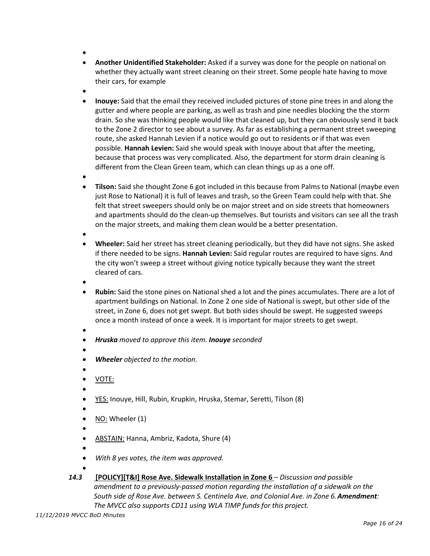- •
- **Another Unidentified Stakeholder:** Asked if a survey was done for the people on national on whether they actually want street cleaning on their street. Some people hate having to move their cars, for example
- •
- **Inouye:** Said that the email they received included pictures of stone pine trees in and along the gutter and where people are parking, as well as trash and pine needles blocking the the storm drain. So she was thinking people would like that cleaned up, but they can obviously send it back to the Zone 2 director to see about a survey. As far as establishing a permanent street sweeping route, she asked Hannah Levien if a notice would go out to residents or if that was even possible. **Hannah Levien:** Said she would speak with Inouye about that after the meeting, because that process was very complicated. Also, the department for storm drain cleaning is different from the Clean Green team, which can clean things up as a one off.
- •
- **Tilson:** Said she thought Zone 6 got included in this because from Palms to National (maybe even just Rose to National) it is full of leaves and trash, so the Green Team could help with that. She felt that street sweepers should only be on major street and on side streets that homeowners and apartments should do the clean-up themselves. But tourists and visitors can see all the trash on the major streets, and making them clean would be a better presentation.
- •
- **Wheeler:** Said her street has street cleaning periodically, but they did have not signs. She asked if there needed to be signs. **Hannah Levien:** Said regular routes are required to have signs. And the city won't sweep a street without giving notice typically because they want the street cleared of cars.
- •
- **Rubin:** Said the stone pines on National shed a lot and the pines accumulates. There are a lot of apartment buildings on National. In Zone 2 one side of National is swept, but other side of the street, in Zone 6, does not get swept. But both sides should be swept. He suggested sweeps once a month instead of once a week. It is important for major streets to get swept.
- - *Hruska moved to approve this item. Inouye seconded*
	- •
	- *Wheeler objected to the motion.*
	- • VOTE:
	- •
	- YES: Inouye, Hill, Rubin, Krupkin, Hruska, Stemar, Seretti, Tilson (8)
	- •
	- NO: Wheeler (1)
	- •
	- ABSTAIN: Hanna, Ambriz, Kadota, Shure (4)
	- •
- 
- *With 8 yes votes, the item was approved.*  •
- *14.3* **[POLICY][T&I] Rose Ave. Sidewalk Installation in Zone 6**  *Discussion and possible amendment to a previously-passed motion regarding the installation of a sidewalk on the South side of Rose Ave. between S. Centinela Ave. and Colonial Ave. in Zone 6.Amendment: The MVCC also supports CD11 using WLA TIMP funds for this project.*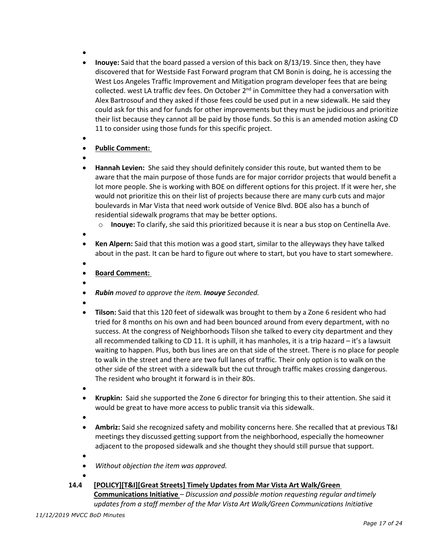- •
- **Inouye:** Said that the board passed a version of this back on 8/13/19. Since then, they have discovered that for Westside Fast Forward program that CM Bonin is doing, he is accessing the West Los Angeles Traffic Improvement and Mitigation program developer fees that are being collected. west LA traffic dev fees. On October 2<sup>nd</sup> in Committee they had a conversation with Alex Bartrosouf and they asked if those fees could be used put in a new sidewalk. He said they could ask for this and for funds for other improvements but they must be judicious and prioritize their list because they cannot all be paid by those funds. So this is an amended motion asking CD 11 to consider using those funds for this specific project.
- •

## • **Public Comment:**

- •
- **Hannah Levien:** She said they should definitely consider this route, but wanted them to be aware that the main purpose of those funds are for major corridor projects that would benefit a lot more people. She is working with BOE on different options for this project. If it were her, she would not prioritize this on their list of projects because there are many curb cuts and major boulevards in Mar Vista that need work outside of Venice Blvd. BOE also has a bunch of residential sidewalk programs that may be better options.
	- o **Inouye:** To clarify, she said this prioritized because it is near a bus stop on Centinella Ave.
- •
- **Ken Alpern:** Said that this motion was a good start, similar to the alleyways they have talked about in the past. It can be hard to figure out where to start, but you have to start somewhere.
- •
- **Board Comment:**
- •
- *Rubin moved to approve the item. Inouye Seconded.*
- •
- **Tilson:** Said that this 120 feet of sidewalk was brought to them by a Zone 6 resident who had tried for 8 months on his own and had been bounced around from every department, with no success. At the congress of Neighborhoods Tilson she talked to every city department and they all recommended talking to CD 11. It is uphill, it has manholes, it is a trip hazard – it's a lawsuit waiting to happen. Plus, both bus lines are on that side of the street. There is no place for people to walk in the street and there are two full lanes of traffic. Their only option is to walk on the other side of the street with a sidewalk but the cut through traffic makes crossing dangerous. The resident who brought it forward is in their 80s.
- •
- **Krupkin:**Said she supported the Zone 6 director for bringing this to their attention. She said it would be great to have more access to public transit via this sidewalk.
- •
- **Ambriz:** Said she recognized safety and mobility concerns here. She recalled that at previous T&I meetings they discussed getting support from the neighborhood, especially the homeowner adjacent to the proposed sidewalk and she thought they should still pursue that support.
- •
- *Without objection the item was approved.*
- •
- **14.4 [POLICY][T&I][Great Streets] Timely Updates from Mar Vista Art Walk/Green Communications Initiative** – *Discussion and possible motion requesting regular andtimely updates from a staff member of the Mar Vista Art Walk/Green Communications Initiative*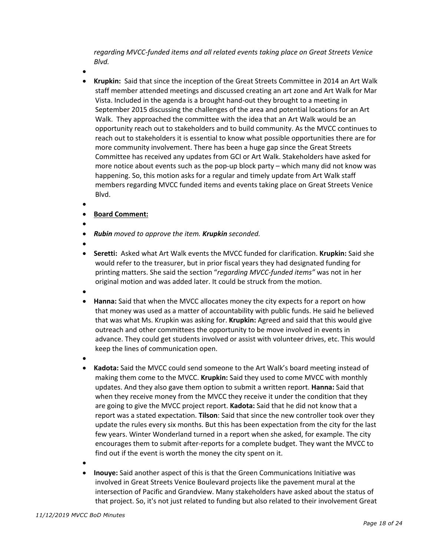*regarding MVCC-funded items and all related events taking place on Great Streets Venice Blvd.*

•

- **Krupkin:** Said that since the inception of the Great Streets Committee in 2014 an Art Walk staff member attended meetings and discussed creating an art zone and Art Walk for Mar Vista. Included in the agenda is a brought hand-out they brought to a meeting in September 2015 discussing the challenges of the area and potential locations for an Art Walk. They approached the committee with the idea that an Art Walk would be an opportunity reach out to stakeholders and to build community. As the MVCC continues to reach out to stakeholders it is essential to know what possible opportunities there are for more community involvement. There has been a huge gap since the Great Streets Committee has received any updates from GCI or Art Walk. Stakeholders have asked for more notice about events such as the pop-up block party – which many did not know was happening. So, this motion asks for a regular and timely update from Art Walk staff members regarding MVCC funded items and events taking place on Great Streets Venice Blvd.
- •

#### • **Board Comment:**

- •
- *Rubin moved to approve the item. Krupkin seconded.*
- •
- **Seretti:** Asked what Art Walk events the MVCC funded for clarification. **Krupkin:** Said she would refer to the treasurer, but in prior fiscal years they had designated funding for printing matters. She said the section "*regarding MVCC-funded items"* was not in her original motion and was added later. It could be struck from the motion.
- •
- **Hanna:** Said that when the MVCC allocates money the city expects for a report on how that money was used as a matter of accountability with public funds. He said he believed that was what Ms. Krupkin was asking for. **Krupkin:** Agreed and said that this would give outreach and other committees the opportunity to be move involved in events in advance. They could get students involved or assist with volunteer drives, etc. This would keep the lines of communication open.
- •
- **Kadota:** Said the MVCC could send someone to the Art Walk's board meeting instead of making them come to the MVCC. **Krupkin:** Said they used to come MVCC with monthly updates. And they also gave them option to submit a written report. **Hanna:** Said that when they receive money from the MVCC they receive it under the condition that they are going to give the MVCC project report. **Kadota:** Said that he did not know that a report was a stated expectation. **Tilson**: Said that since the new controller took over they update the rules every six months. But this has been expectation from the city for the last few years. Winter Wonderland turned in a report when she asked, for example. The city encourages them to submit after-reports for a complete budget. They want the MVCC to find out if the event is worth the money the city spent on it.
- •
- **Inouye:** Said another aspect of this is that the Green Communications Initiative was involved in Great Streets Venice Boulevard projects like the pavement mural at the intersection of Pacific and Grandview. Many stakeholders have asked about the status of that project. So, it's not just related to funding but also related to their involvement Great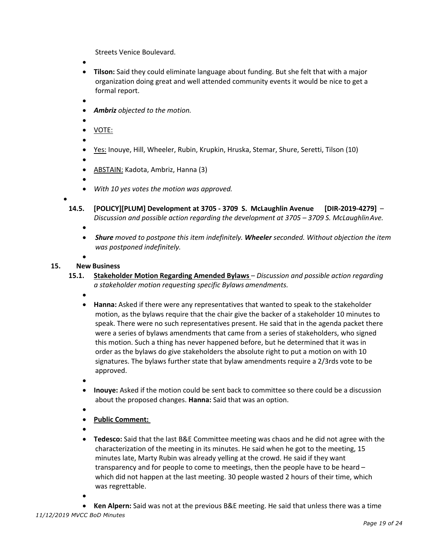Streets Venice Boulevard.

- •
- **Tilson:** Said they could eliminate language about funding. But she felt that with a major organization doing great and well attended community events it would be nice to get a formal report.
- •
- *Ambriz objected to the motion.*
- •
- VOTE:
- •
- Yes: Inouye, Hill, Wheeler, Rubin, Krupkin, Hruska, Stemar, Shure, Seretti, Tilson (10)
- - ABSTAIN: Kadota, Ambriz, Hanna (3)
- •

•

- *With 10 yes votes the motion was approved.*
- **14.5. [POLICY][PLUM] Development at 3705 3709 S. McLaughlin Avenue [DIR-2019-4279]** *Discussion and possible action regarding the development at 3705 – 3709 S. McLaughlinAve.* •
	- *Shure moved to postpone this item indefinitely. Wheeler seconded. Without objection the item was postponed indefinitely.*
	- •

## **15. New Business**

- **15.1. Stakeholder Motion Regarding Amended Bylaws**  *Discussion and possible action regarding a stakeholder motion requesting specific Bylaws amendments.*
	- •
	- **Hanna:** Asked if there were any representatives that wanted to speak to the stakeholder motion, as the bylaws require that the chair give the backer of a stakeholder 10 minutes to speak. There were no such representatives present. He said that in the agenda packet there were a series of bylaws amendments that came from a series of stakeholders, who signed this motion. Such a thing has never happened before, but he determined that it was in order as the bylaws do give stakeholders the absolute right to put a motion on with 10 signatures. The bylaws further state that bylaw amendments require a 2/3rds vote to be approved.
	- •
	- **Inouye:** Asked if the motion could be sent back to committee so there could be a discussion about the proposed changes. **Hanna:** Said that was an option.
	- •
	- **Public Comment:**
	- •
	- **Tedesco:** Said that the last B&E Committee meeting was chaos and he did not agree with the characterization of the meeting in its minutes. He said when he got to the meeting, 15 minutes late, Marty Rubin was already yelling at the crowd. He said if they want transparency and for people to come to meetings, then the people have to be heard – which did not happen at the last meeting. 30 people wasted 2 hours of their time, which was regrettable.
	- •

• **Ken Alpern:** Said was not at the previous B&E meeting. He said that unless there was a time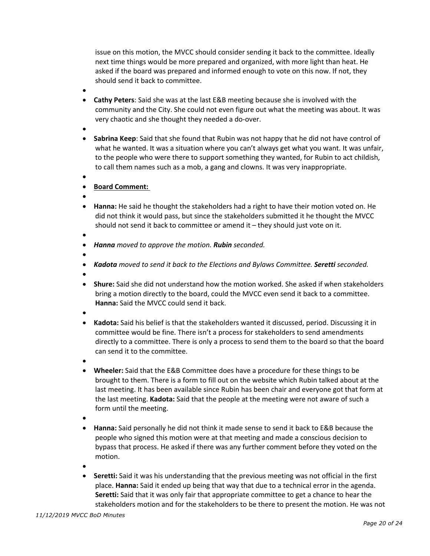issue on this motion, the MVCC should consider sending it back to the committee. Ideally next time things would be more prepared and organized, with more light than heat. He asked if the board was prepared and informed enough to vote on this now. If not, they should send it back to committee.

- •
- **Cathy Peters**: Said she was at the last E&B meeting because she is involved with the community and the City. She could not even figure out what the meeting was about. It was very chaotic and she thought they needed a do-over.
- •
- **Sabrina Keep**: Said that she found that Rubin was not happy that he did not have control of what he wanted. It was a situation where you can't always get what you want. It was unfair, to the people who were there to support something they wanted, for Rubin to act childish, to call them names such as a mob, a gang and clowns. It was very inappropriate.
- •

## • **Board Comment:**

- •
- **Hanna:** He said he thought the stakeholders had a right to have their motion voted on. He did not think it would pass, but since the stakeholders submitted it he thought the MVCC should not send it back to committee or amend it – they should just vote on it.
- •
- *Hanna moved to approve the motion. Rubin seconded.*
- *Kadota moved to send it back to the Elections and Bylaws Committee. Seretti seconded.*
- •

- **Shure:** Said she did not understand how the motion worked. She asked if when stakeholders bring a motion directly to the board, could the MVCC even send it back to a committee. **Hanna:** Said the MVCC could send it back.
- •
- **Kadota:** Said his belief is that the stakeholders wanted it discussed, period. Discussing it in committee would be fine. There isn't a process for stakeholders to send amendments directly to a committee. There is only a process to send them to the board so that the board can send it to the committee.
- •
- **Wheeler:** Said that the E&B Committee does have a procedure for these things to be brought to them. There is a form to fill out on the website which Rubin talked about at the last meeting. It has been available since Rubin has been chair and everyone got that form at the last meeting. **Kadota:** Said that the people at the meeting were not aware of such a form until the meeting.
- •
- **Hanna:** Said personally he did not think it made sense to send it back to E&B because the people who signed this motion were at that meeting and made a conscious decision to bypass that process. He asked if there was any further comment before they voted on the motion.
- •
- **Seretti:** Said it was his understanding that the previous meeting was not official in the first place. **Hanna:** Said it ended up being that way that due to a technical error in the agenda. **Seretti:** Said that it was only fair that appropriate committee to get a chance to hear the stakeholders motion and for the stakeholders to be there to present the motion. He was not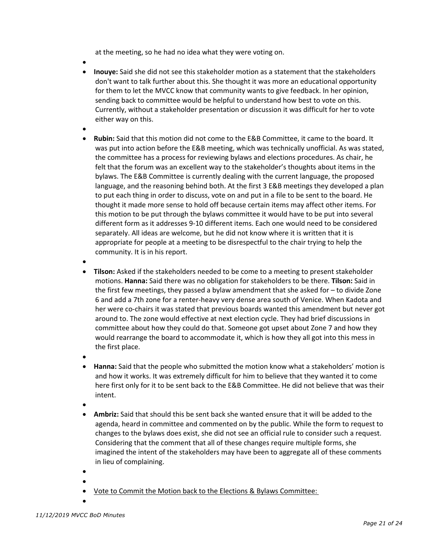at the meeting, so he had no idea what they were voting on.

- **Inouye:** Said she did not see this stakeholder motion as a statement that the stakeholders don't want to talk further about this. She thought it was more an educational opportunity for them to let the MVCC know that community wants to give feedback. In her opinion, sending back to committee would be helpful to understand how best to vote on this. Currently, without a stakeholder presentation or discussion it was difficult for her to vote either way on this.
- •
- **Rubin:** Said that this motion did not come to the E&B Committee, it came to the board. It was put into action before the E&B meeting, which was technically unofficial. As was stated, the committee has a process for reviewing bylaws and elections procedures. As chair, he felt that the forum was an excellent way to the stakeholder's thoughts about items in the bylaws. The E&B Committee is currently dealing with the current language, the proposed language, and the reasoning behind both. At the first 3 E&B meetings they developed a plan to put each thing in order to discuss, vote on and put in a file to be sent to the board. He thought it made more sense to hold off because certain items may affect other items. For this motion to be put through the bylaws committee it would have to be put into several different form as it addresses 9-10 different items. Each one would need to be considered separately. All ideas are welcome, but he did not know where it is written that it is appropriate for people at a meeting to be disrespectful to the chair trying to help the community. It is in his report.
- •
- **Tilson:** Asked if the stakeholders needed to be come to a meeting to present stakeholder motions. **Hanna:** Said there was no obligation for stakeholders to be there. **Tilson:** Said in the first few meetings, they passed a bylaw amendment that she asked for – to divide Zone 6 and add a 7th zone for a renter-heavy very dense area south of Venice. When Kadota and her were co-chairs it was stated that previous boards wanted this amendment but never got around to. The zone would effective at next election cycle. They had brief discussions in committee about how they could do that. Someone got upset about Zone 7 and how they would rearrange the board to accommodate it, which is how they all got into this mess in the first place.
- •
- **Hanna:** Said that the people who submitted the motion know what a stakeholders' motion is and how it works. It was extremely difficult for him to believe that they wanted it to come here first only for it to be sent back to the E&B Committee. He did not believe that was their intent.
- •
- **Ambriz:** Said that should this be sent back she wanted ensure that it will be added to the agenda, heard in committee and commented on by the public. While the form to request to changes to the bylaws does exist, she did not see an official rule to consider such a request. Considering that the comment that all of these changes require multiple forms, she imagined the intent of the stakeholders may have been to aggregate all of these comments in lieu of complaining.
- •
	- Vote to Commit the Motion back to the Elections & Bylaws Committee:
- •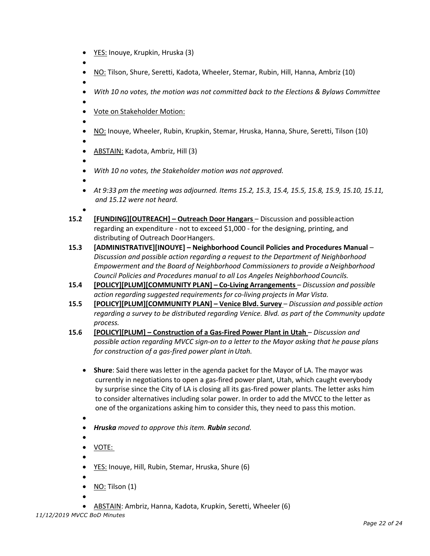- YES: Inouye, Krupkin, Hruska (3)
- •
- NO: Tilson, Shure, Seretti, Kadota, Wheeler, Stemar, Rubin, Hill, Hanna, Ambriz (10)
- •
- *With 10 no votes, the motion was not committed back to the Elections & Bylaws Committee*
- Vote on Stakeholder Motion:
- •
- NO: Inouye, Wheeler, Rubin, Krupkin, Stemar, Hruska, Hanna, Shure, Seretti, Tilson (10)

•

- ABSTAIN: Kadota, Ambriz, Hill (3)
- •

•

- *With 10 no votes, the Stakeholder motion was not approved.*
- 
- *At 9:33 pm the meeting was adjourned. Items 15.2, 15.3, 15.4, 15.5, 15.8, 15.9, 15.10, 15.11, and 15.12 were not heard.*
- 
- **15.2 [FUNDING][OUTREACH] – Outreach Door Hangars**  Discussion and possibleaction regarding an expenditure - not to exceed \$1,000 - for the designing, printing, and distributing of Outreach DoorHangers.
- **15.3 [ADMINISTRATIVE][INOUYE] – Neighborhood Council Policies and Procedures Manual**  *Discussion and possible action regarding a request to the Department of Neighborhood Empowerment and the Board of Neighborhood Commissioners to provide aNeighborhood Council Policies and Procedures manual to all Los Angeles Neighborhood Councils.*
- **15.4 [POLICY][PLUM][COMMUNITY PLAN] – Co-Living Arrangements** *Discussion and possible action regarding suggested requirements for co-living projects in Mar Vista.*
- **15.5 [POLICY][PLUM][COMMUNITY PLAN] – Venice Blvd. Survey** *Discussion and possible action regarding a survey to be distributed regarding Venice. Blvd. as part of the Community update process.*
- **15.6 [POLICY][PLUM] – Construction of a Gas-Fired Power Plant in Utah**  *Discussion and possible action regarding MVCC sign-on to a letter to the Mayor asking that he pause plans for construction of a gas-fired power plant inUtah.*
	- **Shure**: Said there was letter in the agenda packet for the Mayor of LA. The mayor was currently in negotiations to open a gas-fired power plant, Utah, which caught everybody by surprise since the City of LA is closing all its gas-fired power plants. The letter asks him to consider alternatives including solar power. In order to add the MVCC to the letter as one of the organizations asking him to consider this, they need to pass this motion.
	- •
	- *Hruska moved to approve this item. Rubin second.*
	- • VOTE:
	- •
	- YES: Inouye, Hill, Rubin, Stemar, Hruska, Shure (6)
	- •
	- $\bullet$  NO: Tilson (1)
	- •
	- ABSTAIN: Ambriz, Hanna, Kadota, Krupkin, Seretti, Wheeler (6)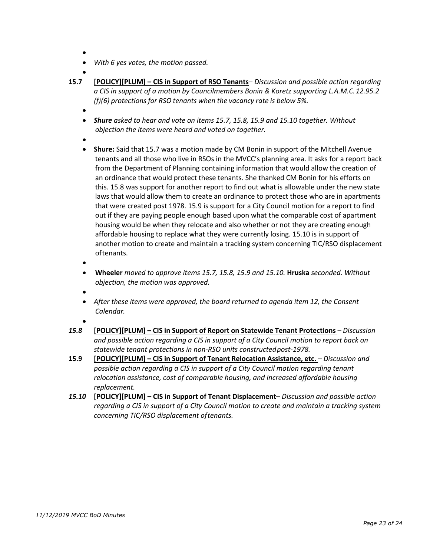- •
- *With 6 yes votes, the motion passed.*
- •
- **15.7 [POLICY][PLUM] – CIS in Support of RSO Tenants** *Discussion and possible action regarding a CIS in support of a motion by Councilmembers Bonin & Koretz supporting L.A.M.C.12.95.2 (f)(6) protections for RSO tenants when the vacancy rate is below 5%.*
	- •
	- *Shure asked to hear and vote on items 15.7, 15.8, 15.9 and 15.10 together. Without objection the items were heard and voted on together.*
	- •
	- **Shure:** Said that 15.7 was a motion made by CM Bonin in support of the Mitchell Avenue tenants and all those who live in RSOs in the MVCC's planning area. It asks for a report back from the Department of Planning containing information that would allow the creation of an ordinance that would protect these tenants. She thanked CM Bonin for his efforts on this. 15.8 was support for another report to find out what is allowable under the new state laws that would allow them to create an ordinance to protect those who are in apartments that were created post 1978. 15.9 is support for a City Council motion for a report to find out if they are paying people enough based upon what the comparable cost of apartment housing would be when they relocate and also whether or not they are creating enough affordable housing to replace what they were currently losing. 15.10 is in support of another motion to create and maintain a tracking system concerning TIC/RSO displacement oftenants.
	- •
	- **Wheeler** *moved to approve items 15.7, 15.8, 15.9 and 15.10.* **Hruska** *seconded. Without objection, the motion was approved.*
	- •
	- *After these items were approved, the board returned to agenda item 12, the Consent Calendar.*
	- •
- *15.8* **[POLICY][PLUM] – CIS in Support of Report on Statewide Tenant Protections** *– Discussion and possible action regarding a CIS in support of a City Council motion to report back on statewide tenant protections in non-RSO units constructedpost-1978.*
- **15.9 [POLICY][PLUM] – CIS in Support of Tenant Relocation Assistance, etc.** *– Discussion and possible action regarding a CIS in support of a City Council motion regarding tenant relocation assistance, cost of comparable housing, and increased affordable housing replacement.*
- *15.10* **[POLICY][PLUM] – CIS in Support of Tenant Displacement** *Discussion and possible action regarding a CIS in support of a City Council motion to create and maintain a tracking system concerning TIC/RSO displacement oftenants.*